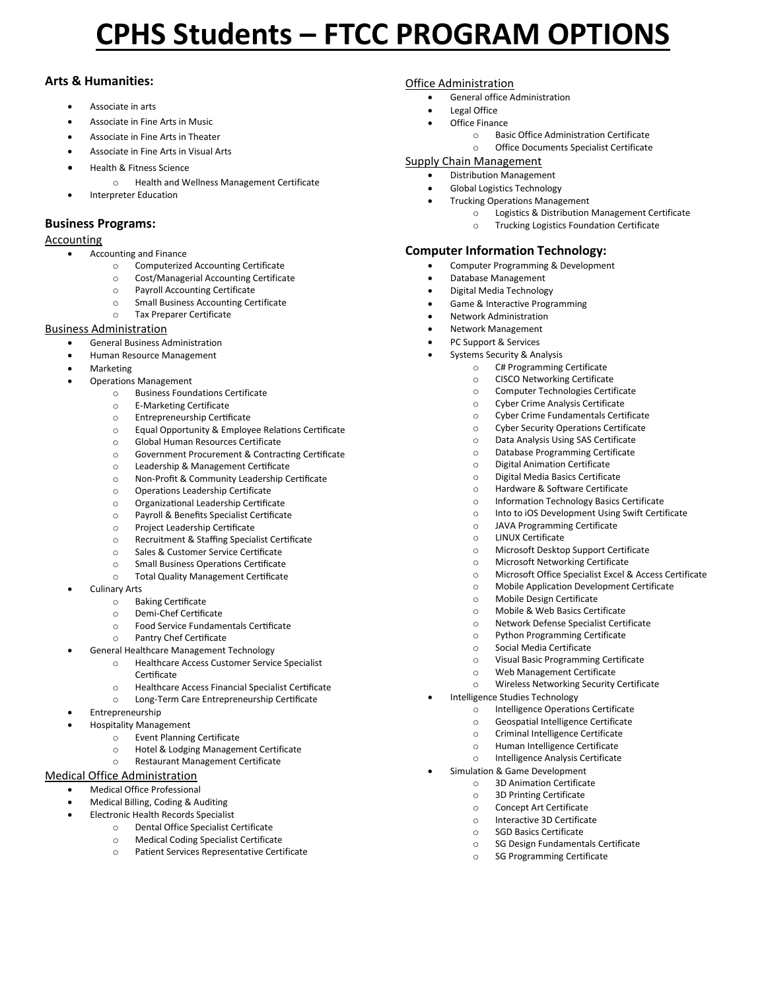# **CPHS Students – FTCC PROGRAM OPTIONS**

# **Arts & Humanities:**

- Associate in arts
- Associate in Fine Arts in Music
- Associate in Fine Arts in Theater
- Associate in Fine Arts in Visual Arts
- Health & Fitness Science
	- o Health and Wellness Management Certificate
	- Interpreter Education

# **Business Programs:**

## Accounting

- Accounting and Finance
	- o Computerized Accounting Certificate
	- o Cost/Managerial Accounting Certificate
	- o Payroll Accounting Certificate
	- o Small Business Accounting Certificate
	- o Tax Preparer Certificate

#### Business Administration

- General Business Administration
- Human Resource Management
- Marketing
- Operations Management
	- o Business Foundations Certificate
	- o E-Marketing Certificate
	- o Entrepreneurship Certificate
	- o Equal Opportunity & Employee Relations Certificate
	- o Global Human Resources Certificate
	- o Government Procurement & Contracting Certificate
	- o Leadership & Management Certificate
	- o Non-Profit & Community Leadership Certificate
	- o Operations Leadership Certificate
	- o Organizational Leadership Certificate
	- o Payroll & Benefits Specialist Certificate
	- o Project Leadership Certificate
	- o Recruitment & Staffing Specialist Certificate
	- o Sales & Customer Service Certificate
	- o Small Business Operations Certificate
	- o Total Quality Management Certificate
- Culinary Arts
	- o Baking Certificate
	- o Demi-Chef Certificate
	- o Food Service Fundamentals Certificate
	- o Pantry Chef Certificate
	- General Healthcare Management Technology
		- o Healthcare Access Customer Service Specialist **Certificate**
		- o Healthcare Access Financial Specialist Certificate
		- o Long-Term Care Entrepreneurship Certificate
- **Entrepreneurship**
- Hospitality Management
	- o Event Planning Certificate
		- o Hotel & Lodging Management Certificate
	- o Restaurant Management Certificate

## Medical Office Administration

- Medical Office Professional
- Medical Billing, Coding & Auditing
- Electronic Health Records Specialist
	- o Dental Office Specialist Certificate
	- o Medical Coding Specialist Certificate
	- o Patient Services Representative Certificate

#### Office Administration

- General office Administration
- Legal Office
- **Office Finance** 
	- o Basic Office Administration Certificate
	- o Office Documents Specialist Certificate

#### Supply Chain Management

- Distribution Management
- Global Logistics Technology
	- Trucking Operations Management
		- o Logistics & Distribution Management Certificate
		- o Trucking Logistics Foundation Certificate

# **Computer Information Technology:**

- Computer Programming & Development
- Database Management
- Digital Media Technology
- Game & Interactive Programming
- Network Administration
- Network Management
- PC Support & Services
- Systems Security & Analysis
	- o C# Programming Certificate
		- o CISCO Networking Certificate
		- o Computer Technologies Certificate
	- o Cyber Crime Analysis Certificate
	- o Cyber Crime Fundamentals Certificate
	- o Cyber Security Operations Certificate
	- o Data Analysis Using SAS Certificate
	- o Database Programming Certificate
	- o Digital Animation Certificate
	- o Digital Media Basics Certificate
	- o Hardware & Software Certificate
	- o Information Technology Basics Certificate
	- o Into to iOS Development Using Swift Certificate
	- o JAVA Programming Certificate
	- o LINUX Certificate

• Intelligence Studies Technology

• Simulation & Game Development o 3D Animation Certificate o 3D Printing Certificate o Concept Art Certificate o Interactive 3D Certificate o SGD Basics Certificate

- o Microsoft Desktop Support Certificate
- o Microsoft Networking Certificate

o Mobile & Web Basics Certificate o Network Defense Specialist Certificate o Python Programming Certificate o Social Media Certificate

o Visual Basic Programming Certificate o Web Management Certificate o Wireless Networking Security Certificate

o Intelligence Operations Certificate o Geospatial Intelligence Certificate o Criminal Intelligence Certificate o Human Intelligence Certificate o Intelligence Analysis Certificate

o SG Design Fundamentals Certificate o SG Programming Certificate

- o Microsoft Office Specialist Excel & Access Certificate
- o Mobile Application Development Certificate
- o Mobile Design Certificate